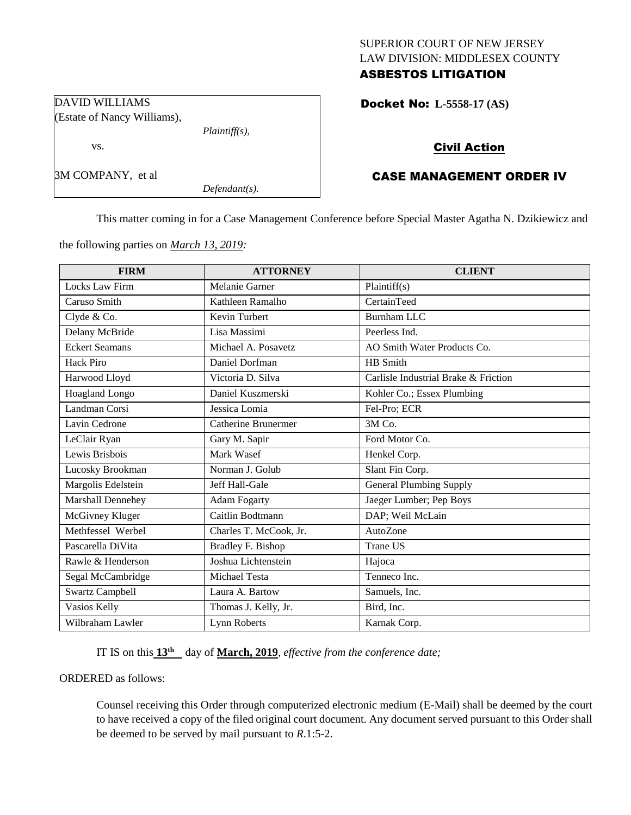### SUPERIOR COURT OF NEW JERSEY LAW DIVISION: MIDDLESEX COUNTY ASBESTOS LITIGATION

Docket No: **L-5558-17 (AS)** 

# Civil Action

# CASE MANAGEMENT ORDER IV

This matter coming in for a Case Management Conference before Special Master Agatha N. Dzikiewicz and

the following parties on *March 13, 2019:*

*Plaintiff(s),*

*Defendant(s).*

DAVID WILLIAMS

vs.

3M COMPANY, et al

(Estate of Nancy Williams),

| <b>FIRM</b>           | <b>ATTORNEY</b>            | <b>CLIENT</b>                        |
|-----------------------|----------------------------|--------------------------------------|
| <b>Locks Law Firm</b> | Melanie Garner             | Plaintiff(s)                         |
| Caruso Smith          | Kathleen Ramalho           | CertainTeed                          |
| Clyde & Co.           | <b>Kevin Turbert</b>       | <b>Burnham LLC</b>                   |
| Delany McBride        | Lisa Massimi               | Peerless Ind.                        |
| <b>Eckert Seamans</b> | Michael A. Posavetz        | AO Smith Water Products Co.          |
| Hack Piro             | Daniel Dorfman             | HB Smith                             |
| Harwood Lloyd         | Victoria D. Silva          | Carlisle Industrial Brake & Friction |
| Hoagland Longo        | Daniel Kuszmerski          | Kohler Co.; Essex Plumbing           |
| Landman Corsi         | Jessica Lomia              | Fel-Pro; ECR                         |
| Lavin Cedrone         | <b>Catherine Brunermer</b> | 3M Co.                               |
| LeClair Ryan          | Gary M. Sapir              | Ford Motor Co.                       |
| Lewis Brisbois        | Mark Wasef                 | Henkel Corp.                         |
| Lucosky Brookman      | Norman J. Golub            | Slant Fin Corp.                      |
| Margolis Edelstein    | Jeff Hall-Gale             | <b>General Plumbing Supply</b>       |
| Marshall Dennehey     | <b>Adam Fogarty</b>        | Jaeger Lumber; Pep Boys              |
| McGivney Kluger       | Caitlin Bodtmann           | DAP; Weil McLain                     |
| Methfessel Werbel     | Charles T. McCook, Jr.     | AutoZone                             |
| Pascarella DiVita     | <b>Bradley F. Bishop</b>   | <b>Trane US</b>                      |
| Rawle & Henderson     | Joshua Lichtenstein        | Hajoca                               |
| Segal McCambridge     | Michael Testa              | Tenneco Inc.                         |
| Swartz Campbell       | Laura A. Bartow            | Samuels, Inc.                        |
| Vasios Kelly          | Thomas J. Kelly, Jr.       | Bird, Inc.                           |
| Wilbraham Lawler      | Lynn Roberts               | Karnak Corp.                         |

IT IS on this  $13<sup>th</sup>$  day of **March, 2019**, *effective from the conference date*;

ORDERED as follows:

Counsel receiving this Order through computerized electronic medium (E-Mail) shall be deemed by the court to have received a copy of the filed original court document. Any document served pursuant to this Order shall be deemed to be served by mail pursuant to *R*.1:5-2.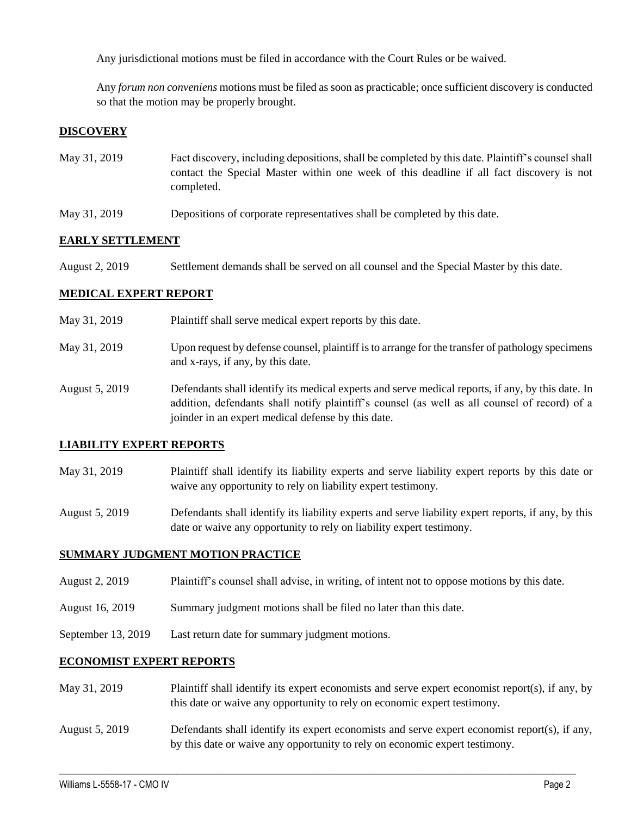Any jurisdictional motions must be filed in accordance with the Court Rules or be waived.

Any *forum non conveniens* motions must be filed as soon as practicable; once sufficient discovery is conducted so that the motion may be properly brought.

# **DISCOVERY**

- May 31, 2019 Fact discovery, including depositions, shall be completed by this date. Plaintiff's counsel shall contact the Special Master within one week of this deadline if all fact discovery is not completed.
- May 31, 2019 Depositions of corporate representatives shall be completed by this date.

### **EARLY SETTLEMENT**

August 2, 2019 Settlement demands shall be served on all counsel and the Special Master by this date.

#### **MEDICAL EXPERT REPORT**

| May 31, 2019   | Plaintiff shall serve medical expert reports by this date.                                                                                                                                                                                               |
|----------------|----------------------------------------------------------------------------------------------------------------------------------------------------------------------------------------------------------------------------------------------------------|
| May 31, 2019   | Upon request by defense counsel, plaintiff is to arrange for the transfer of pathology specimens<br>and x-rays, if any, by this date.                                                                                                                    |
| August 5, 2019 | Defendants shall identify its medical experts and serve medical reports, if any, by this date. In<br>addition, defendants shall notify plaintiff's counsel (as well as all counsel of record) of a<br>joinder in an expert medical defense by this date. |

### **LIABILITY EXPERT REPORTS**

- May 31, 2019 Plaintiff shall identify its liability experts and serve liability expert reports by this date or waive any opportunity to rely on liability expert testimony.
- August 5, 2019 Defendants shall identify its liability experts and serve liability expert reports, if any, by this date or waive any opportunity to rely on liability expert testimony.

#### **SUMMARY JUDGMENT MOTION PRACTICE**

- August 2, 2019 Plaintiff's counsel shall advise, in writing, of intent not to oppose motions by this date.
- August 16, 2019 Summary judgment motions shall be filed no later than this date.
- September 13, 2019 Last return date for summary judgment motions.

# **ECONOMIST EXPERT REPORTS**

- May 31, 2019 Plaintiff shall identify its expert economists and serve expert economist report(s), if any, by this date or waive any opportunity to rely on economic expert testimony.
- August 5, 2019 Defendants shall identify its expert economists and serve expert economist report(s), if any, by this date or waive any opportunity to rely on economic expert testimony.

 $\_$  ,  $\_$  ,  $\_$  ,  $\_$  ,  $\_$  ,  $\_$  ,  $\_$  ,  $\_$  ,  $\_$  ,  $\_$  ,  $\_$  ,  $\_$  ,  $\_$  ,  $\_$  ,  $\_$  ,  $\_$  ,  $\_$  ,  $\_$  ,  $\_$  ,  $\_$  ,  $\_$  ,  $\_$  ,  $\_$  ,  $\_$  ,  $\_$  ,  $\_$  ,  $\_$  ,  $\_$  ,  $\_$  ,  $\_$  ,  $\_$  ,  $\_$  ,  $\_$  ,  $\_$  ,  $\_$  ,  $\_$  ,  $\_$  ,